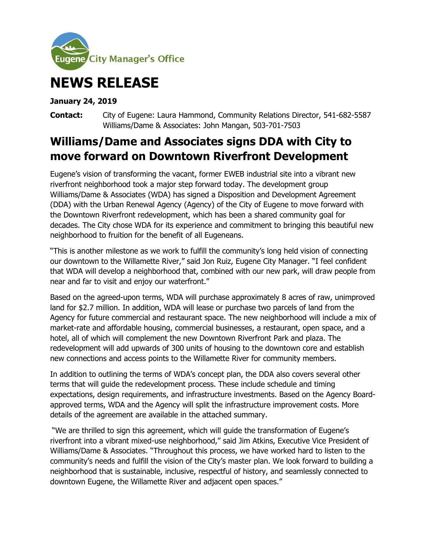

## **NEWS RELEASE**

## **January 24, 2019**

**Contact:** City of Eugene: Laura Hammond, Community Relations Director, 541-682-5587 Williams/Dame & Associates: John Mangan, 503-701-7503

## **Williams/Dame and Associates signs DDA with City to move forward on Downtown Riverfront Development**

Eugene's vision of transforming the vacant, former EWEB industrial site into a vibrant new riverfront neighborhood took a major step forward today. The development group Williams/Dame & Associates (WDA) has signed a Disposition and Development Agreement (DDA) with the Urban Renewal Agency (Agency) of the City of Eugene to move forward with the Downtown Riverfront redevelopment, which has been a shared community goal for decades. The City chose WDA for its experience and commitment to bringing this beautiful new neighborhood to fruition for the benefit of all Eugeneans.

"This is another milestone as we work to fulfill the community's long held vision of connecting our downtown to the Willamette River," said Jon Ruiz, Eugene City Manager. "I feel confident that WDA will develop a neighborhood that, combined with our new park, will draw people from near and far to visit and enjoy our waterfront."

Based on the agreed-upon terms, WDA will purchase approximately 8 acres of raw, unimproved land for \$2.7 million. In addition, WDA will lease or purchase two parcels of land from the Agency for future commercial and restaurant space. The new neighborhood will include a mix of market-rate and affordable housing, commercial businesses, a restaurant, open space, and a hotel, all of which will complement the new Downtown Riverfront Park and plaza. The redevelopment will add upwards of 300 units of housing to the downtown core and establish new connections and access points to the Willamette River for community members.

In addition to outlining the terms of WDA's concept plan, the DDA also covers several other terms that will guide the redevelopment process. These include schedule and timing expectations, design requirements, and infrastructure investments. Based on the Agency Boardapproved terms, WDA and the Agency will split the infrastructure improvement costs. More details of the agreement are available in the attached summary.

"We are thrilled to sign this agreement, which will guide the transformation of Eugene's riverfront into a vibrant mixed-use neighborhood," said Jim Atkins, Executive Vice President of Williams/Dame & Associates. "Throughout this process, we have worked hard to listen to the community's needs and fulfill the vision of the City's master plan. We look forward to building a neighborhood that is sustainable, inclusive, respectful of history, and seamlessly connected to downtown Eugene, the Willamette River and adjacent open spaces."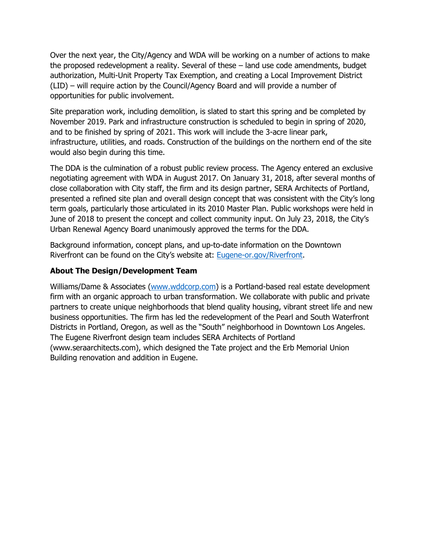Over the next year, the City/Agency and WDA will be working on a number of actions to make the proposed redevelopment a reality. Several of these – land use code amendments, budget authorization, Multi-Unit Property Tax Exemption, and creating a Local Improvement District (LID) – will require action by the Council/Agency Board and will provide a number of opportunities for public involvement.

Site preparation work, including demolition, is slated to start this spring and be completed by November 2019. Park and infrastructure construction is scheduled to begin in spring of 2020, and to be finished by spring of 2021. This work will include the 3-acre linear park, infrastructure, utilities, and roads. Construction of the buildings on the northern end of the site would also begin during this time.

The DDA is the culmination of a robust public review process. The Agency entered an exclusive negotiating agreement with WDA in August 2017. On January 31, 2018, after several months of close collaboration with City staff, the firm and its design partner, SERA Architects of Portland, presented a refined site plan and overall design concept that was consistent with the City's long term goals, particularly those articulated in its 2010 Master Plan. Public workshops were held in June of 2018 to present the concept and collect community input. On July 23, 2018, the City's Urban Renewal Agency Board unanimously approved the terms for the DDA.

Background information, concept plans, and up-to-date information on the Downtown Riverfront can be found on the City's website at: [Eugene-or.gov/Riverfront.](https://www.eugene-or.gov/3506/Downtown-Riverfront)

## **About The Design/Development Team**

Williams/Dame & Associates [\(www.wddcorp.com\)](http://www.wddcorp.com/) is a Portland-based real estate development firm with an organic approach to urban transformation. We collaborate with public and private partners to create unique neighborhoods that blend quality housing, vibrant street life and new business opportunities. The firm has led the redevelopment of the Pearl and South Waterfront Districts in Portland, Oregon, as well as the "South" neighborhood in Downtown Los Angeles. The Eugene Riverfront design team includes SERA Architects of Portland (www.seraarchitects.com), which designed the Tate project and the Erb Memorial Union Building renovation and addition in Eugene.